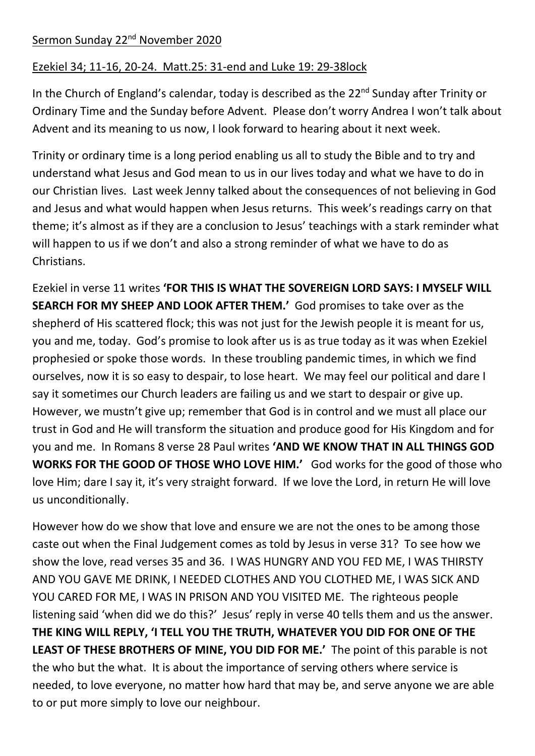## Sermon Sunday 22<sup>nd</sup> November 2020

## Ezekiel 34; 11-16, 20-24. Matt.25: 31-end and Luke 19: 29-38lock

In the Church of England's calendar, today is described as the 22<sup>nd</sup> Sunday after Trinity or Ordinary Time and the Sunday before Advent. Please don't worry Andrea I won't talk about Advent and its meaning to us now, I look forward to hearing about it next week.

Trinity or ordinary time is a long period enabling us all to study the Bible and to try and understand what Jesus and God mean to us in our lives today and what we have to do in our Christian lives. Last week Jenny talked about the consequences of not believing in God and Jesus and what would happen when Jesus returns. This week's readings carry on that theme; it's almost as if they are a conclusion to Jesus' teachings with a stark reminder what will happen to us if we don't and also a strong reminder of what we have to do as Christians.

Ezekiel in verse 11 writes **'FOR THIS IS WHAT THE SOVEREIGN LORD SAYS: I MYSELF WILL SEARCH FOR MY SHEEP AND LOOK AFTER THEM.'** God promises to take over as the shepherd of His scattered flock; this was not just for the Jewish people it is meant for us, you and me, today. God's promise to look after us is as true today as it was when Ezekiel prophesied or spoke those words. In these troubling pandemic times, in which we find ourselves, now it is so easy to despair, to lose heart. We may feel our political and dare I say it sometimes our Church leaders are failing us and we start to despair or give up. However, we mustn't give up; remember that God is in control and we must all place our trust in God and He will transform the situation and produce good for His Kingdom and for you and me. In Romans 8 verse 28 Paul writes **'AND WE KNOW THAT IN ALL THINGS GOD WORKS FOR THE GOOD OF THOSE WHO LOVE HIM.'** God works for the good of those who love Him; dare I say it, it's very straight forward. If we love the Lord, in return He will love us unconditionally.

However how do we show that love and ensure we are not the ones to be among those caste out when the Final Judgement comes as told by Jesus in verse 31? To see how we show the love, read verses 35 and 36. I WAS HUNGRY AND YOU FED ME, I WAS THIRSTY AND YOU GAVE ME DRINK, I NEEDED CLOTHES AND YOU CLOTHED ME, I WAS SICK AND YOU CARED FOR ME, I WAS IN PRISON AND YOU VISITED ME. The righteous people listening said 'when did we do this?' Jesus' reply in verse 40 tells them and us the answer. **THE KING WILL REPLY, 'I TELL YOU THE TRUTH, WHATEVER YOU DID FOR ONE OF THE LEAST OF THESE BROTHERS OF MINE, YOU DID FOR ME.'** The point of this parable is not the who but the what. It is about the importance of serving others where service is needed, to love everyone, no matter how hard that may be, and serve anyone we are able to or put more simply to love our neighbour.